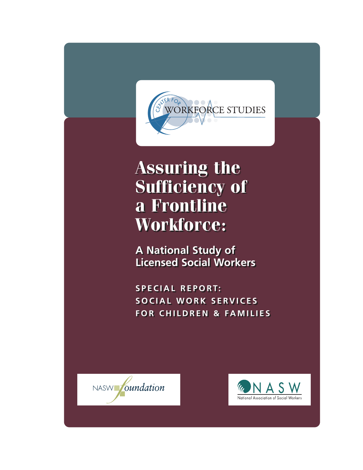

# **Assuring the Assuring the Sufficiency of Sufficiency of a Frontline a Frontline Workforce: Workforce:**

**A National Study of A National Study of Licensed Social Workers Licensed Social Workers** 

**SPECIAL REPORT: SPECIAL REPORT: SOCIAL WORK SERVICES SOCIAL WORK SERVICES FOR CHILDREN & FAMILIES FOR CHILDREN & FAMILIES**



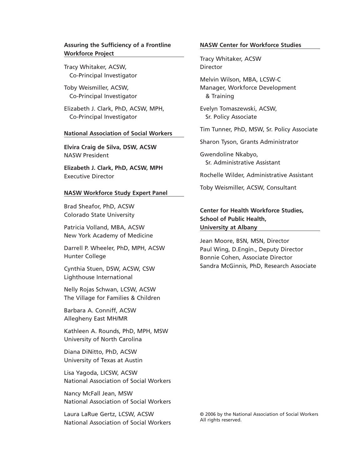#### **Assuring the Sufficiency of a Frontline Workforce Project**

Tracy Whitaker, ACSW, Co-Principal Investigator

Toby Weismiller, ACSW, Co-Principal Investigator

Elizabeth J. Clark, PhD, ACSW, MPH, Co-Principal Investigator

#### **National Association of Social Workers**

**Elvira Craig de Silva, DSW, ACSW** NASW President

**Elizabeth J. Clark, PhD, ACSW, MPH** Executive Director

#### **NASW Workforce Study Expert Panel**

Brad Sheafor, PhD, ACSW Colorado State University

Patricia Volland, MBA, ACSW New York Academy of Medicine

Darrell P. Wheeler, PhD, MPH, ACSW Hunter College

Cynthia Stuen, DSW, ACSW, CSW Lighthouse International

Nelly Rojas Schwan, LCSW, ACSW The Village for Families & Children

Barbara A. Conniff, ACSW Allegheny East MH/MR

Kathleen A. Rounds, PhD, MPH, MSW University of North Carolina

Diana DiNitto, PhD, ACSW University of Texas at Austin

Lisa Yagoda, LICSW, ACSW National Association of Social Workers

Nancy McFall Jean, MSW National Association of Social Workers

Laura LaRue Gertz, LCSW, ACSW National Association of Social Workers

#### **NASW Center for Workforce Studies**

Tracy Whitaker, ACSW Director

Melvin Wilson, MBA, LCSW-C Manager, Workforce Development & Training

Evelyn Tomaszewski, ACSW, Sr. Policy Associate

Tim Tunner, PhD, MSW, Sr. Policy Associate

Sharon Tyson, Grants Administrator

Gwendoline Nkabyo, Sr. Administrative Assistant

Rochelle Wilder, Administrative Assistant

Toby Weismiller, ACSW, Consultant

#### **Center for Health Workforce Studies, School of Public Health, University at Albany**

Jean Moore, BSN, MSN, Director Paul Wing, D.Engin., Deputy Director Bonnie Cohen, Associate Director Sandra McGinnis, PhD, Research Associate

© 2006 by the National Association of Social Workers All rights reserved.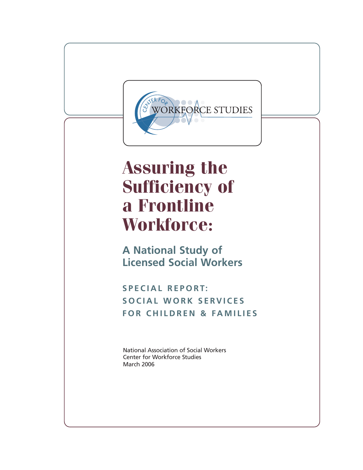

# **Assuring the Sufficiency of a Frontline Workforce:**

**A National Study of Licensed Social Workers** 

**SPECIAL REPORT: SOCIAL WORK SERVICES FOR CHILDREN & FAMILIES**

National Association of Social Workers Center for Workforce Studies March 2006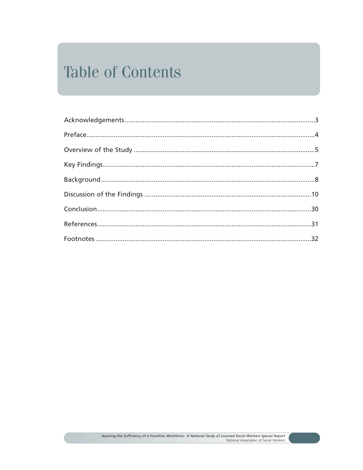## **Table of Contents**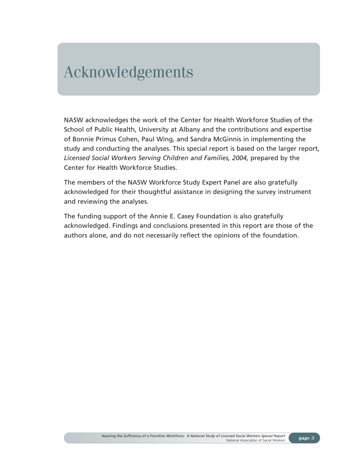### Acknowledgements

NASW acknowledges the work of the Center for Health Workforce Studies of the School of Public Health, University at Albany and the contributions and expertise of Bonnie Primus Cohen, Paul Wing, and Sandra McGinnis in implementing the study and conducting the analyses. This special report is based on the larger report, *Licensed Social Workers Serving Children and Families, 2004,* prepared by the Center for Health Workforce Studies.

The members of the NASW Workforce Study Expert Panel are also gratefully acknowledged for their thoughtful assistance in designing the survey instrument and reviewing the analyses.

The funding support of the Annie E. Casey Foundation is also gratefully acknowledged. Findings and conclusions presented in this report are those of the authors alone, and do not necessarily reflect the opinions of the foundation.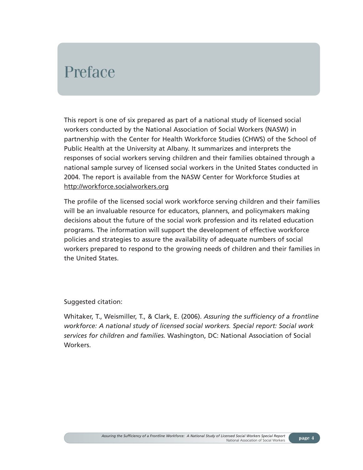## Preface

This report is one of six prepared as part of a national study of licensed social workers conducted by the National Association of Social Workers (NASW) in partnership with the Center for Health Workforce Studies (CHWS) of the School of Public Health at the University at Albany. It summarizes and interprets the responses of social workers serving children and their families obtained through a national sample survey of licensed social workers in the United States conducted in 2004. The report is available from the NASW Center for Workforce Studies at http://workforce.socialworkers.org

The profile of the licensed social work workforce serving children and their families will be an invaluable resource for educators, planners, and policymakers making decisions about the future of the social work profession and its related education programs. The information will support the development of effective workforce policies and strategies to assure the availability of adequate numbers of social workers prepared to respond to the growing needs of children and their families in the United States.

Suggested citation:

Whitaker, T., Weismiller, T., & Clark, E. (2006). *Assuring the sufficiency of a frontline workforce: A national study of licensed social workers. Special report: Social work services for children and families.* Washington, DC: National Association of Social Workers.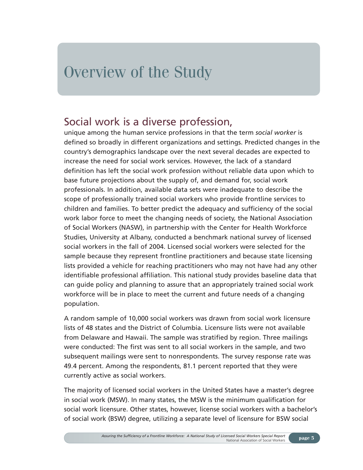## Overview of the Study

### Social work is a diverse profession,

unique among the human service professions in that the term *social worker* is defined so broadly in different organizations and settings. Predicted changes in the country's demographics landscape over the next several decades are expected to increase the need for social work services. However, the lack of a standard definition has left the social work profession without reliable data upon which to base future projections about the supply of, and demand for, social work professionals. In addition, available data sets were inadequate to describe the scope of professionally trained social workers who provide frontline services to children and families. To better predict the adequacy and sufficiency of the social work labor force to meet the changing needs of society, the National Association of Social Workers (NASW), in partnership with the Center for Health Workforce Studies, University at Albany, conducted a benchmark national survey of licensed social workers in the fall of 2004. Licensed social workers were selected for the sample because they represent frontline practitioners and because state licensing lists provided a vehicle for reaching practitioners who may not have had any other identifiable professional affiliation. This national study provides baseline data that can guide policy and planning to assure that an appropriately trained social work workforce will be in place to meet the current and future needs of a changing population.

A random sample of 10,000 social workers was drawn from social work licensure lists of 48 states and the District of Columbia. Licensure lists were not available from Delaware and Hawaii. The sample was stratified by region. Three mailings were conducted: The first was sent to all social workers in the sample, and two subsequent mailings were sent to nonrespondents. The survey response rate was 49.4 percent. Among the respondents, 81.1 percent reported that they were currently active as social workers.

The majority of licensed social workers in the United States have a master's degree in social work (MSW). In many states, the MSW is the minimum qualification for social work licensure. Other states, however, license social workers with a bachelor's of social work (BSW) degree, utilizing a separate level of licensure for BSW social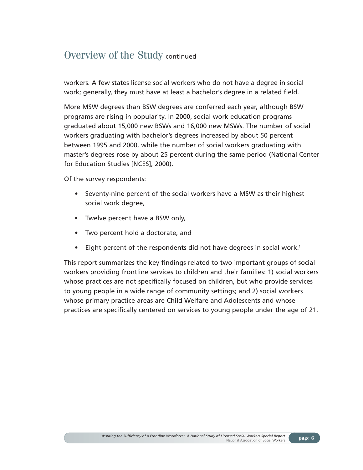### Overview of the Study continued

workers. A few states license social workers who do not have a degree in social work; generally, they must have at least a bachelor's degree in a related field.

More MSW degrees than BSW degrees are conferred each year, although BSW programs are rising in popularity. In 2000, social work education programs graduated about 15,000 new BSWs and 16,000 new MSWs. The number of social workers graduating with bachelor's degrees increased by about 50 percent between 1995 and 2000, while the number of social workers graduating with master's degrees rose by about 25 percent during the same period (National Center for Education Studies [NCES], 2000).

Of the survey respondents:

- Seventy-nine percent of the social workers have a MSW as their highest social work degree,
- Twelve percent have a BSW only,
- Two percent hold a doctorate, and
- Eight percent of the respondents did not have degrees in social work.<sup>1</sup>

This report summarizes the key findings related to two important groups of social workers providing frontline services to children and their families: 1) social workers whose practices are not specifically focused on children, but who provide services to young people in a wide range of community settings; and 2) social workers whose primary practice areas are Child Welfare and Adolescents and whose practices are specifically centered on services to young people under the age of 21.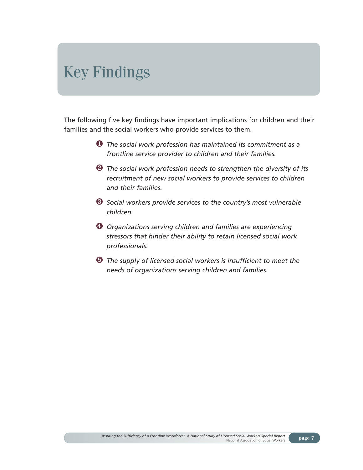## Key Findings

The following five key findings have important implications for children and their families and the social workers who provide services to them.

- ❶ *The social work profession has maintained its commitment as a frontline service provider to children and their families.*
- ❷ *The social work profession needs to strengthen the diversity of its recruitment of new social workers to provide services to children and their families.*
- ❸ *Social workers provide services to the country's most vulnerable children.*
- ❹ *Organizations serving children and families are experiencing stressors that hinder their ability to retain licensed social work professionals.*
- ➎ *The supply of licensed social workers is insufficient to meet the needs of organizations serving children and families.*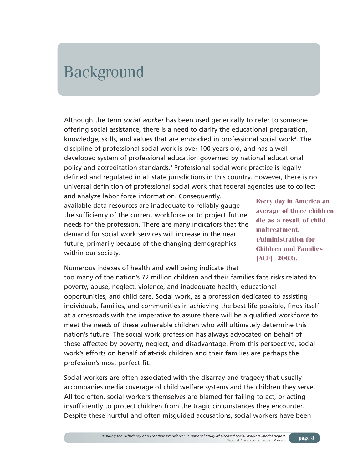## Background

Although the term *social worker* has been used generically to refer to someone offering social assistance, there is a need to clarify the educational preparation, knowledge, skills, and values that are embodied in professional social work<sup>2</sup>. The discipline of professional social work is over 100 years old, and has a welldeveloped system of professional education governed by national educational policy and accreditation standards.3 Professional social work practice is legally defined and regulated in all state jurisdictions in this country. However, there is no universal definition of professional social work that federal agencies use to collect

and analyze labor force information. Consequently, available data resources are inadequate to reliably gauge the sufficiency of the current workforce or to project future needs for the profession. There are many indicators that the demand for social work services will increase in the near future, primarily because of the changing demographics within our society.

**Every day in America an average of three children die as a result of child maltreatment. (Administration for Children and Families [ACF], 2003).**

Numerous indexes of health and well being indicate that too many of the nation's 72 million children and their families face risks related to poverty, abuse, neglect, violence, and inadequate health, educational opportunities, and child care. Social work, as a profession dedicated to assisting individuals, families, and communities in achieving the best life possible, finds itself at a crossroads with the imperative to assure there will be a qualified workforce to meet the needs of these vulnerable children who will ultimately determine this nation's future. The social work profession has always advocated on behalf of those affected by poverty, neglect, and disadvantage. From this perspective, social work's efforts on behalf of at-risk children and their families are perhaps the profession's most perfect fit.

Social workers are often associated with the disarray and tragedy that usually accompanies media coverage of child welfare systems and the children they serve. All too often, social workers themselves are blamed for failing to act, or acting insufficiently to protect children from the tragic circumstances they encounter. Despite these hurtful and often misguided accusations, social workers have been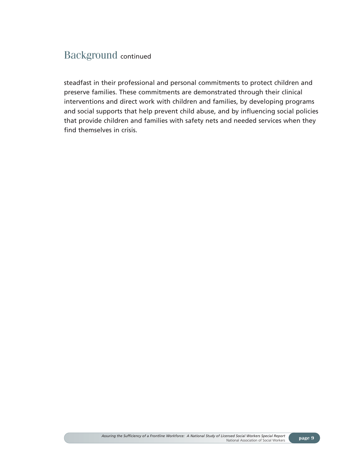### Background continued

steadfast in their professional and personal commitments to protect children and preserve families. These commitments are demonstrated through their clinical interventions and direct work with children and families, by developing programs and social supports that help prevent child abuse, and by influencing social policies that provide children and families with safety nets and needed services when they find themselves in crisis.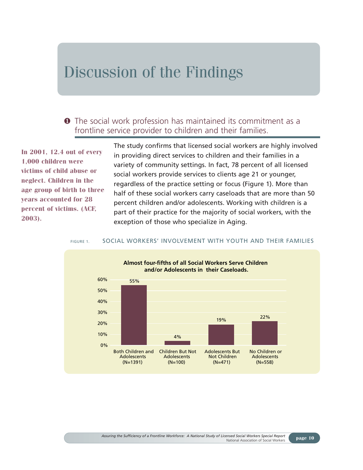## Discussion of the Findings

### ❶ The social work profession has maintained its commitment as a frontline service provider to children and their families.

**In 2001, 12.4 out of every 1,000 children were victims of child abuse or neglect. Children in the age group of birth to three years accounted for 28 percent of victims. (ACF, 2003).**

The study confirms that licensed social workers are highly involved in providing direct services to children and their families in a variety of community settings. In fact, 78 percent of all licensed social workers provide services to clients age 21 or younger, regardless of the practice setting or focus (Figure 1). More than half of these social workers carry caseloads that are more than 50 percent children and/or adolescents. Working with children is a part of their practice for the majority of social workers, with the exception of those who specialize in Aging.

#### FIGURE 1. SOCIAL WORKERS' INVOLVEMENT WITH YOUTH AND THEIR FAMILIES

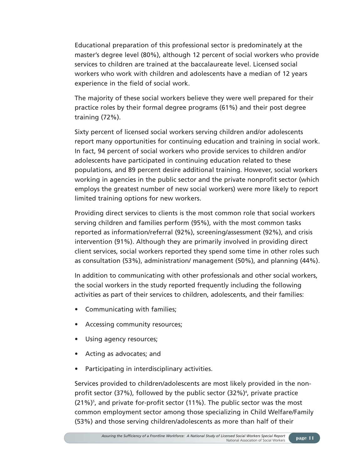Educational preparation of this professional sector is predominately at the master's degree level (80%), although 12 percent of social workers who provide services to children are trained at the baccalaureate level. Licensed social workers who work with children and adolescents have a median of 12 years experience in the field of social work.

The majority of these social workers believe they were well prepared for their practice roles by their formal degree programs (61%) and their post degree training (72%).

Sixty percent of licensed social workers serving children and/or adolescents report many opportunities for continuing education and training in social work. In fact, 94 percent of social workers who provide services to children and/or adolescents have participated in continuing education related to these populations, and 89 percent desire additional training. However, social workers working in agencies in the public sector and the private nonprofit sector (which employs the greatest number of new social workers) were more likely to report limited training options for new workers.

Providing direct services to clients is the most common role that social workers serving children and families perform (95%), with the most common tasks reported as information/referral (92%), screening/assessment (92%), and crisis intervention (91%). Although they are primarily involved in providing direct client services, social workers reported they spend some time in other roles such as consultation (53%), administration/ management (50%), and planning (44%).

In addition to communicating with other professionals and other social workers, the social workers in the study reported frequently including the following activities as part of their services to children, adolescents, and their families:

- Communicating with families;
- Accessing community resources;
- Using agency resources;
- Acting as advocates; and
- Participating in interdisciplinary activities.

Services provided to children/adolescents are most likely provided in the nonprofit sector (37%), followed by the public sector (32%)<sup>4</sup>, private practice  $(21\%)$ <sup>5</sup>, and private for-profit sector  $(11\%)$ . The public sector was the most common employment sector among those specializing in Child Welfare/Family (53%) and those serving children/adolescents as more than half of their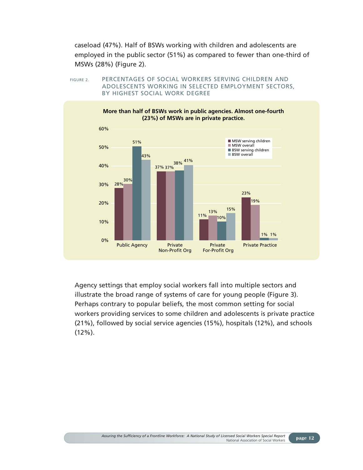caseload (47%). Half of BSWs working with children and adolescents are employed in the public sector (51%) as compared to fewer than one-third of MSWs (28%) (Figure 2).

FIGURE 2. PERCENTAGES OF SOCIAL WORKERS SERVING CHILDREN AND ADOLESCENTS WORKING IN SELECTED EMPLOYMENT SECTORS, BY HIGHEST SOCIAL WORK DEGREE



Agency settings that employ social workers fall into multiple sectors and illustrate the broad range of systems of care for young people (Figure 3). Perhaps contrary to popular beliefs, the most common setting for social workers providing services to some children and adolescents is private practice (21%), followed by social service agencies (15%), hospitals (12%), and schools (12%).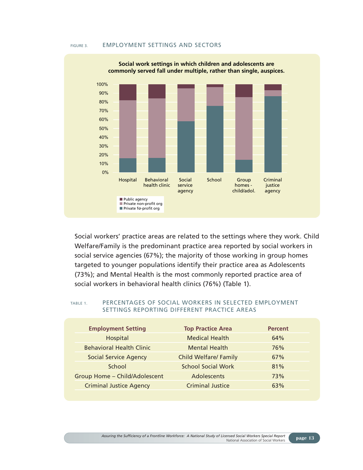#### FIGURE 3. EMPLOYMENT SETTINGS AND SECTORS



**Social work settings in which children and adolescents are**

Social workers' practice areas are related to the settings where they work. Child Welfare/Family is the predominant practice area reported by social workers in social service agencies (67%); the majority of those working in group homes targeted to younger populations identify their practice area as Adolescents (73%); and Mental Health is the most commonly reported practice area of social workers in behavioral health clinics (76%) (Table 1).

#### TABLE 1. PERCENTAGES OF SOCIAL WORKERS IN SELECTED EMPLOYMENT SETTINGS REPORTING DIFFERENT PRACTICE AREAS

| <b>Employment Setting</b>       | <b>Top Practice Area</b>     | <b>Percent</b> |
|---------------------------------|------------------------------|----------------|
| Hospital                        | <b>Medical Health</b>        | 64%            |
| <b>Behavioral Health Clinic</b> | <b>Mental Health</b>         | 76%            |
| <b>Social Service Agency</b>    | <b>Child Welfare/ Family</b> | 67%            |
| School                          | <b>School Social Work</b>    | 81%            |
| Group Home - Child/Adolescent   | Adolescents                  | 73%            |
| <b>Criminal Justice Agency</b>  | <b>Criminal Justice</b>      | 63%            |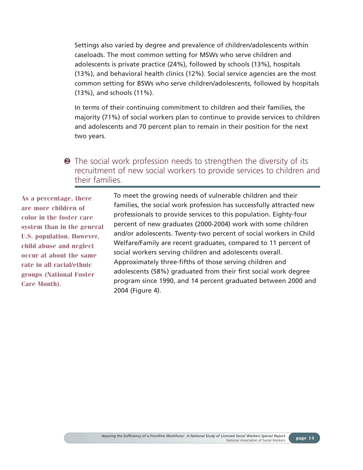Settings also varied by degree and prevalence of children/adolescents within caseloads. The most common setting for MSWs who serve children and adolescents is private practice (24%), followed by schools (13%), hospitals (13%), and behavioral health clinics (12%). Social service agencies are the most common setting for BSWs who serve children/adolescents, followed by hospitals (13%), and schools (11%).

In terms of their continuing commitment to children and their families, the majority (71%) of social workers plan to continue to provide services to children and adolescents and 70 percent plan to remain in their position for the next two years.

❷ The social work profession needs to strengthen the diversity of its recruitment of new social workers to provide services to children and their families.

**As a percentage, there are more children of color in the foster care system than in the general U.S. population. However, child abuse and neglect occur at about the same rate in all racial/ethnic groups (National Foster Care Month).**

To meet the growing needs of vulnerable children and their families, the social work profession has successfully attracted new professionals to provide services to this population. Eighty-four percent of new graduates (2000-2004) work with some children and/or adolescents. Twenty-two percent of social workers in Child Welfare/Family are recent graduates, compared to 11 percent of social workers serving children and adolescents overall. Approximately three-fifths of those serving children and adolescents (58%) graduated from their first social work degree program since 1990, and 14 percent graduated between 2000 and 2004 (Figure 4).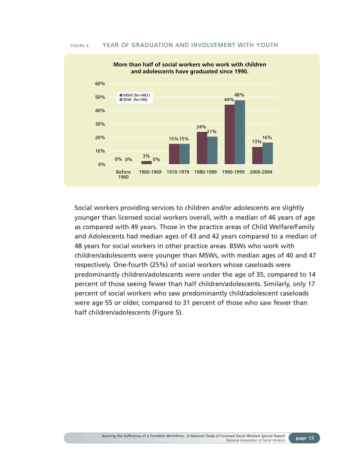#### FIGURE 4. YEAR OF GRADUATION AND INVOLVEMENT WITH YOUTH



Social workers providing services to children and/or adolescents are slightly younger than licensed social workers overall, with a median of 46 years of age as compared with 49 years. Those in the practice areas of Child Welfare/Family and Adolescents had median ages of 43 and 42 years compared to a median of 48 years for social workers in other practice areas. BSWs who work with children/adolescents were younger than MSWs, with median ages of 40 and 47 respectively. One-fourth (25%) of social workers whose caseloads were predominantly children/adolescents were under the age of 35, compared to 14 percent of those seeing fewer than half children/adolescents. Similarly, only 17 percent of social workers who saw predominantly child/adolescent caseloads were age 55 or older, compared to 31 percent of those who saw fewer than half children/adolescents (Figure 5).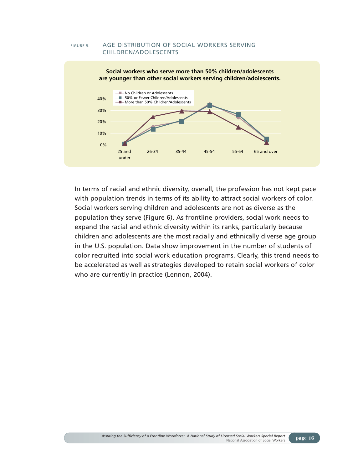

FIGURE 5. AGE DISTRIBUTION OF SOCIAL WORKERS SERVING

In terms of racial and ethnic diversity, overall, the profession has not kept pace with population trends in terms of its ability to attract social workers of color. Social workers serving children and adolescents are not as diverse as the population they serve (Figure 6). As frontline providers, social work needs to expand the racial and ethnic diversity within its ranks, particularly because children and adolescents are the most racially and ethnically diverse age group in the U.S. population. Data show improvement in the number of students of color recruited into social work education programs. Clearly, this trend needs to be accelerated as well as strategies developed to retain social workers of color who are currently in practice (Lennon, 2004).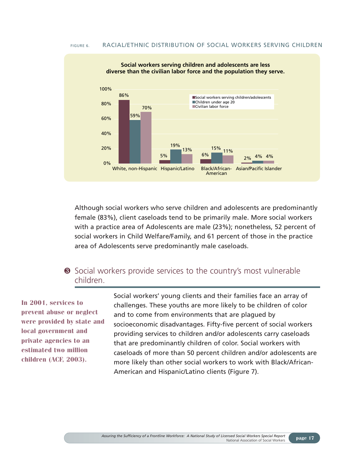#### FIGURE 6. RACIAL/ETHNIC DISTRIBUTION OF SOCIAL WORKERS SERVING CHILDREN



Although social workers who serve children and adolescents are predominantly female (83%), client caseloads tend to be primarily male. More social workers with a practice area of Adolescents are male (23%); nonetheless, 52 percent of social workers in Child Welfare/Family, and 61 percent of those in the practice area of Adolescents serve predominantly male caseloads.

### ❸ Social workers provide services to the country's most vulnerable children.

**In 2001, services to prevent abuse or neglect were provided by state and local government and private agencies to an estimated two million children (ACF, 2003).**

Social workers' young clients and their families face an array of challenges. These youths are more likely to be children of color and to come from environments that are plagued by socioeconomic disadvantages. Fifty-five percent of social workers providing services to children and/or adolescents carry caseloads that are predominantly children of color. Social workers with caseloads of more than 50 percent children and/or adolescents are more likely than other social workers to work with Black/African-American and Hispanic/Latino clients (Figure 7).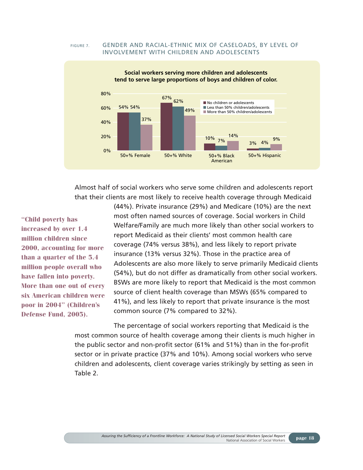#### FIGURE 7. GENDER AND RACIAL-ETHNIC MIX OF CASELOADS, BY LEVEL OF INVOLVEMENT WITH CHILDREN AND ADOLESCENTS



Almost half of social workers who serve some children and adolescents report that their clients are most likely to receive health coverage through Medicaid

**"Child poverty has increased by over 1.4 million children since 2000, accounting for more than a quarter of the 5.4 million people overall who have fallen into poverty. More than one out of every six American children were poor in 2004" (Children's Defense Fund, 2005).**

(44%). Private insurance (29%) and Medicare (10%) are the next most often named sources of coverage. Social workers in Child Welfare/Family are much more likely than other social workers to report Medicaid as their clients' most common health care coverage (74% versus 38%), and less likely to report private insurance (13% versus 32%). Those in the practice area of Adolescents are also more likely to serve primarily Medicaid clients (54%), but do not differ as dramatically from other social workers. BSWs are more likely to report that Medicaid is the most common source of client health coverage than MSWs (65% compared to 41%), and less likely to report that private insurance is the most common source (7% compared to 32%).

The percentage of social workers reporting that Medicaid is the most common source of health coverage among their clients is much higher in the public sector and non-profit sector (61% and 51%) than in the for-profit sector or in private practice (37% and 10%). Among social workers who serve children and adolescents, client coverage varies strikingly by setting as seen in Table 2.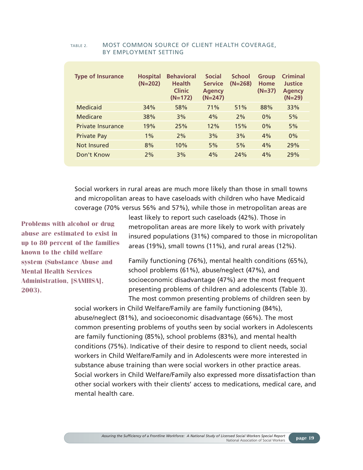| <b>Hospital</b><br>$(N=202)$ | <b>Behavioral</b><br><b>Health</b><br><b>Clinic</b><br>$(N=172)$ | <b>Social</b><br><b>Service</b><br><b>Agency</b><br>$(N=247)$ | <b>School</b><br>$(N=268)$ | <b>Group</b><br>Home<br>$(N=37)$ | <b>Criminal</b><br>Justice<br><b>Agency</b><br>$(N=29)$ |
|------------------------------|------------------------------------------------------------------|---------------------------------------------------------------|----------------------------|----------------------------------|---------------------------------------------------------|
| 34%                          | 58%                                                              | 71%                                                           | 51%                        | 88%                              | 33%                                                     |
| 38%                          | 3%                                                               | 4%                                                            | 2%                         | 0%                               | 5%                                                      |
| 19%                          | 25%                                                              | 12%                                                           | 15%                        | 0%                               | 5%                                                      |
| $1\%$                        | 2%                                                               | 3%                                                            | 3%                         | 4%                               | 0%                                                      |
| 8%                           | 10%                                                              | 5%                                                            | 5%                         | 4%                               | 29%                                                     |
| 2%                           | 3%                                                               | 4%                                                            | 24%                        | 4%                               | 29%                                                     |
|                              |                                                                  |                                                               |                            |                                  |                                                         |

#### TABLE 2. MOST COMMON SOURCE OF CLIENT HEALTH COVERAGE, BY EMPLOYMENT SETTING

Social workers in rural areas are much more likely than those in small towns and micropolitan areas to have caseloads with children who have Medicaid coverage (70% versus 56% and 57%), while those in metropolitan areas are

**Problems with alcohol or drug abuse are estimated to exist in up to 80 percent of the families known to the child welfare system (Substance Abuse and Mental Health Services Administration, [SAMHSA], 2003).**

least likely to report such caseloads (42%). Those in metropolitan areas are more likely to work with privately insured populations (31%) compared to those in micropolitan areas (19%), small towns (11%), and rural areas (12%).

Family functioning (76%), mental health conditions (65%), school problems (61%), abuse/neglect (47%), and socioeconomic disadvantage (47%) are the most frequent presenting problems of children and adolescents (Table 3). The most common presenting problems of children seen by

social workers in Child Welfare/Family are family functioning (84%), abuse/neglect (81%), and socioeconomic disadvantage (66%). The most common presenting problems of youths seen by social workers in Adolescents are family functioning (85%), school problems (83%), and mental health conditions (75%). Indicative of their desire to respond to client needs, social workers in Child Welfare/Family and in Adolescents were more interested in substance abuse training than were social workers in other practice areas. Social workers in Child Welfare/Family also expressed more dissatisfaction than other social workers with their clients' access to medications, medical care, and mental health care.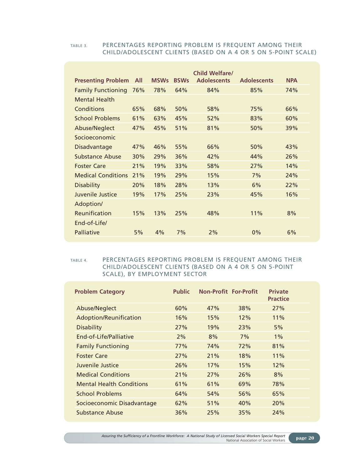#### TABLE 3. PERCENTAGES REPORTING PROBLEM IS FREQUENT AMONG THEIR CHILD/ADOLESCENT CLIENTS (BASED ON A 4 OR 5 ON 5-POINT SCALE)

|                           |            |             |             | <b>Child Welfare/</b> |                    |            |
|---------------------------|------------|-------------|-------------|-----------------------|--------------------|------------|
| <b>Presenting Problem</b> | <b>All</b> | <b>MSWs</b> | <b>BSWs</b> | <b>Adolescents</b>    | <b>Adolescents</b> | <b>NPA</b> |
| <b>Family Functioning</b> | 76%        | 78%         | 64%         | 84%                   | 85%                | 74%        |
| <b>Mental Health</b>      |            |             |             |                       |                    |            |
| Conditions                | 65%        | 68%         | 50%         | 58%                   | 75%                | 66%        |
| <b>School Problems</b>    | 61%        | 63%         | 45%         | 52%                   | 83%                | 60%        |
| Abuse/Neglect             | 47%        | 45%         | 51%         | 81%                   | 50%                | 39%        |
| Socioeconomic             |            |             |             |                       |                    |            |
| Disadvantage              | 47%        | 46%         | 55%         | 66%                   | 50%                | 43%        |
| Substance Abuse           | 30%        | 29%         | 36%         | 42%                   | 44%                | 26%        |
| <b>Foster Care</b>        | 21%        | 19%         | 33%         | 58%                   | 27%                | 14%        |
| <b>Medical Conditions</b> | 21%        | 19%         | 29%         | 15%                   | 7%                 | 24%        |
| <b>Disability</b>         | 20%        | 18%         | 28%         | 13%                   | 6%                 | 22%        |
| Juvenile Justice          | 19%        | 17%         | 25%         | 23%                   | 45%                | 16%        |
| Adoption/                 |            |             |             |                       |                    |            |
| Reunification             | 15%        | 13%         | 25%         | 48%                   | 11%                | 8%         |
| End-of-Life/              |            |             |             |                       |                    |            |
| Palliative                | 5%         | 4%          | 7%          | 2%                    | $0\%$              | 6%         |
|                           |            |             |             |                       |                    |            |

#### TABLE 4. PERCENTAGES REPORTING PROBLEM IS FREQUENT AMONG THEIR CHILD/ADOLESCENT CLIENTS (BASED ON A 4 OR 5 ON 5-POINT SCALE), BY EMPLOYMENT SECTOR

| <b>Problem Category</b>         | <b>Public</b> | <b>Non-Profit For-Profit</b> |     | <b>Private</b><br><b>Practice</b> |
|---------------------------------|---------------|------------------------------|-----|-----------------------------------|
| Abuse/Neglect                   | 60%           | 47%                          | 38% | 27%                               |
| Adoption/Reunification          | 16%           | 15%                          | 12% | 11%                               |
| <b>Disability</b>               | 27%           | 19%                          | 23% | 5%                                |
| End-of-Life/Palliative          | 2%            | 8%                           | 7%  | $1\%$                             |
| <b>Family Functioning</b>       | 77%           | 74%                          | 72% | 81%                               |
| <b>Foster Care</b>              | 27%           | 21%                          | 18% | 11%                               |
| Juvenile Justice                | 26%           | 17%                          | 15% | 12%                               |
| <b>Medical Conditions</b>       | 21%           | 27%                          | 26% | 8%                                |
| <b>Mental Health Conditions</b> | 61%           | 61%                          | 69% | 78%                               |
| School Problems                 | 64%           | 54%                          | 56% | 65%                               |
| Socioeconomic Disadvantage      | 62%           | 51%                          | 40% | 20%                               |
| <b>Substance Abuse</b>          | 36%           | 25%                          | 35% | 24%                               |
|                                 |               |                              |     |                                   |

*Assuring the Sufficiency of a Frontline Workforce: A National Study of Licensed Social Workers Special Report* National Association of Social Workers **page 20**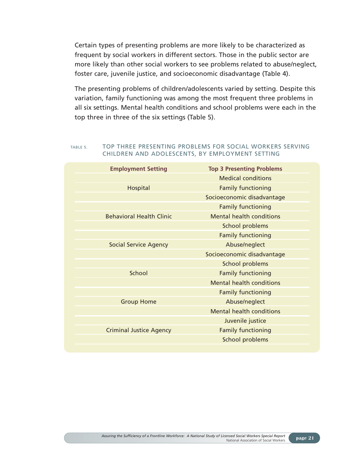Certain types of presenting problems are more likely to be characterized as frequent by social workers in different sectors. Those in the public sector are more likely than other social workers to see problems related to abuse/neglect, foster care, juvenile justice, and socioeconomic disadvantage (Table 4).

The presenting problems of children/adolescents varied by setting. Despite this variation, family functioning was among the most frequent three problems in all six settings. Mental health conditions and school problems were each in the top three in three of the six settings (Table 5).

#### TABLE 5. TOP THREE PRESENTING PROBLEMS FOR SOCIAL WORKERS SERVING CHILDREN AND ADOLESCENTS, BY EMPLOYMENT SETTING

| <b>Employment Setting</b>       | <b>Top 3 Presenting Problems</b> |
|---------------------------------|----------------------------------|
|                                 | <b>Medical conditions</b>        |
| Hospital                        | <b>Family functioning</b>        |
|                                 | Socioeconomic disadvantage       |
|                                 | <b>Family functioning</b>        |
| <b>Behavioral Health Clinic</b> | <b>Mental health conditions</b>  |
|                                 | School problems                  |
|                                 | <b>Family functioning</b>        |
| <b>Social Service Agency</b>    | Abuse/neglect                    |
|                                 | Socioeconomic disadvantage       |
|                                 | School problems                  |
| School                          | <b>Family functioning</b>        |
|                                 | <b>Mental health conditions</b>  |
|                                 | <b>Family functioning</b>        |
| <b>Group Home</b>               | Abuse/neglect                    |
|                                 | <b>Mental health conditions</b>  |
|                                 | Juvenile justice                 |
| <b>Criminal Justice Agency</b>  | <b>Family functioning</b>        |
|                                 | School problems                  |
|                                 |                                  |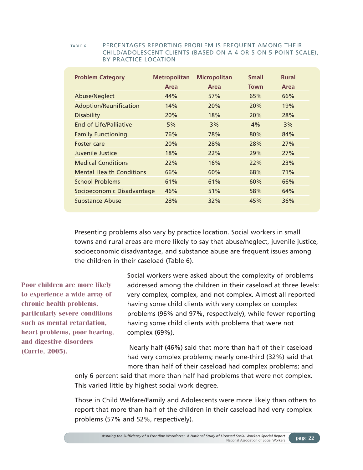#### TABLE 6. PERCENTAGES REPORTING PROBLEM IS FREQUENT AMONG THEIR CHILD/ADOLESCENT CLIENTS (BASED ON A 4 OR 5 ON 5-POINT SCALE), BY PRACTICE LOCATION

| Area<br><b>Town</b><br>Area<br>Area<br>Abuse/Neglect<br>44%<br>57%<br>65%<br>66%<br>Adoption/Reunification<br>14%<br>20%<br>20%<br>19%<br><b>Disability</b><br>20%<br>18%<br>28%<br>20%<br>End-of-Life/Palliative<br>5%<br>3%<br>4%<br>3%<br><b>Family Functioning</b><br>76%<br>78%<br>80%<br>84%<br>20%<br>28%<br>28%<br>27%<br>Foster care<br>Juvenile Justice<br>18%<br>29%<br>22%<br>27%<br><b>Medical Conditions</b><br>22%<br>16%<br>22%<br>23%<br><b>Mental Health Conditions</b><br>66%<br>68%<br>71%<br>60% | <b>Problem Category</b> | <b>Metropolitan</b> | <b>Micropolitan</b> | <b>Small</b> | <b>Rural</b> |
|-----------------------------------------------------------------------------------------------------------------------------------------------------------------------------------------------------------------------------------------------------------------------------------------------------------------------------------------------------------------------------------------------------------------------------------------------------------------------------------------------------------------------|-------------------------|---------------------|---------------------|--------------|--------------|
|                                                                                                                                                                                                                                                                                                                                                                                                                                                                                                                       |                         |                     |                     |              |              |
|                                                                                                                                                                                                                                                                                                                                                                                                                                                                                                                       |                         |                     |                     |              |              |
|                                                                                                                                                                                                                                                                                                                                                                                                                                                                                                                       |                         |                     |                     |              |              |
|                                                                                                                                                                                                                                                                                                                                                                                                                                                                                                                       |                         |                     |                     |              |              |
|                                                                                                                                                                                                                                                                                                                                                                                                                                                                                                                       |                         |                     |                     |              |              |
|                                                                                                                                                                                                                                                                                                                                                                                                                                                                                                                       |                         |                     |                     |              |              |
|                                                                                                                                                                                                                                                                                                                                                                                                                                                                                                                       |                         |                     |                     |              |              |
|                                                                                                                                                                                                                                                                                                                                                                                                                                                                                                                       |                         |                     |                     |              |              |
|                                                                                                                                                                                                                                                                                                                                                                                                                                                                                                                       |                         |                     |                     |              |              |
|                                                                                                                                                                                                                                                                                                                                                                                                                                                                                                                       |                         |                     |                     |              |              |
|                                                                                                                                                                                                                                                                                                                                                                                                                                                                                                                       | <b>School Problems</b>  | 61%                 | 61%                 | 60%          | 66%          |
| Socioeconomic Disadvantage<br>46%<br>58%<br>51%<br>64%                                                                                                                                                                                                                                                                                                                                                                                                                                                                |                         |                     |                     |              |              |
| 28%<br>Substance Abuse<br>45%<br>36%<br>32%                                                                                                                                                                                                                                                                                                                                                                                                                                                                           |                         |                     |                     |              |              |

Presenting problems also vary by practice location. Social workers in small towns and rural areas are more likely to say that abuse/neglect, juvenile justice, socioeconomic disadvantage, and substance abuse are frequent issues among the children in their caseload (Table 6).

**Poor children are more likely to experience a wide array of chronic health problems, particularly severe conditions such as mental retardation, heart problems, poor hearing, and digestive disorders (Currie, 2005).**

Social workers were asked about the complexity of problems addressed among the children in their caseload at three levels: very complex, complex, and not complex. Almost all reported having some child clients with very complex or complex problems (96% and 97%, respectively), while fewer reporting having some child clients with problems that were not complex (69%).

Nearly half (46%) said that more than half of their caseload had very complex problems; nearly one-third (32%) said that more than half of their caseload had complex problems; and

only 6 percent said that more than half had problems that were not complex. This varied little by highest social work degree.

Those in Child Welfare/Family and Adolescents were more likely than others to report that more than half of the children in their caseload had very complex problems (57% and 52%, respectively).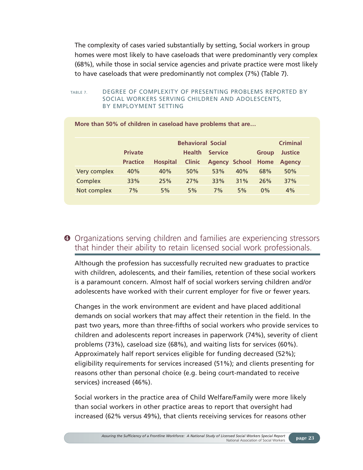The complexity of cases varied substantially by setting, Social workers in group homes were most likely to have caseloads that were predominantly very complex (68%), while those in social service agencies and private practice were most likely to have caseloads that were predominantly not complex (7%) (Table 7).

#### TABLE 7. DEGREE OF COMPLEXITY OF PRESENTING PROBLEMS REPORTED BY SOCIAL WORKERS SERVING CHILDREN AND ADOLESCENTS, BY EMPLOYMENT SETTING

|              | <b>Criminal</b><br><b>Behavioral Social</b> |                 |               |                           |     |              |                |  |
|--------------|---------------------------------------------|-----------------|---------------|---------------------------|-----|--------------|----------------|--|
|              | <b>Private</b>                              |                 | <b>Health</b> | <b>Service</b>            |     | <b>Group</b> | <b>Justice</b> |  |
|              | <b>Practice</b>                             | <b>Hospital</b> | <b>Clinic</b> | <b>Agency School Home</b> |     |              | <b>Agency</b>  |  |
| Very complex | 40%                                         | 40%             | 50%           | 53%                       | 40% | 68%          | 50%            |  |
| Complex      | 33%                                         | 25%             | 27%           | 33%                       | 31% | 26%          | 37%            |  |
| Not complex  | 7%                                          | 5%              | 5%            | 7%                        | 5%  | 0%           | 4%             |  |

**More than 50% of children in caseload have problems that are…**

### ❹ Organizations serving children and families are experiencing stressors that hinder their ability to retain licensed social work professionals.

Although the profession has successfully recruited new graduates to practice with children, adolescents, and their families, retention of these social workers is a paramount concern. Almost half of social workers serving children and/or adolescents have worked with their current employer for five or fewer years.

Changes in the work environment are evident and have placed additional demands on social workers that may affect their retention in the field. In the past two years, more than three-fifths of social workers who provide services to children and adolescents report increases in paperwork (74%), severity of client problems (73%), caseload size (68%), and waiting lists for services (60%). Approximately half report services eligible for funding decreased (52%); eligibility requirements for services increased (51%); and clients presenting for reasons other than personal choice (e.g. being court-mandated to receive services) increased (46%).

Social workers in the practice area of Child Welfare/Family were more likely than social workers in other practice areas to report that oversight had increased (62% versus 49%), that clients receiving services for reasons other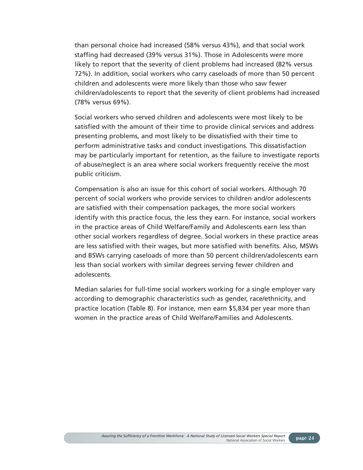than personal choice had increased (58% versus 43%), and that social work staffing had decreased (39% versus 31%). Those in Adolescents were more likely to report that the severity of client problems had increased (82% versus 72%). In addition, social workers who carry caseloads of more than 50 percent children and adolescents were more likely than those who saw fewer children/adolescents to report that the severity of client problems had increased (78% versus 69%).

Social workers who served children and adolescents were most likely to be satisfied with the amount of their time to provide clinical services and address presenting problems, and most likely to be dissatisfied with their time to perform administrative tasks and conduct investigations. This dissatisfaction may be particularly important for retention, as the failure to investigate reports of abuse/neglect is an area where social workers frequently receive the most public criticism.

Compensation is also an issue for this cohort of social workers. Although 70 percent of social workers who provide services to children and/or adolescents are satisfied with their compensation packages, the more social workers identify with this practice focus, the less they earn. For instance, social workers in the practice areas of Child Welfare/Family and Adolescents earn less than other social workers regardless of degree. Social workers in these practice areas are less satisfied with their wages, but more satisfied with benefits. Also, MSWs and BSWs carrying caseloads of more than 50 percent children/adolescents earn less than social workers with similar degrees serving fewer children and adolescents.

Median salaries for full-time social workers working for a single employer vary according to demographic characteristics such as gender, race/ethnicity, and practice location (Table 8). For instance, men earn \$5,834 per year more than women in the practice areas of Child Welfare/Families and Adolescents.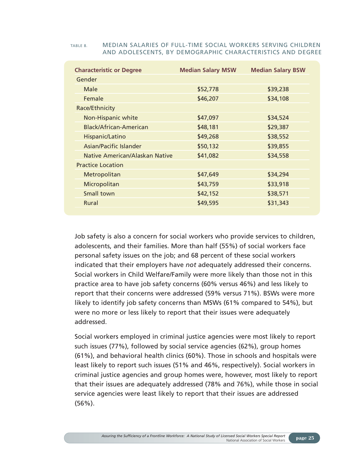| <b>Characteristic or Degree</b> | <b>Median Salary MSW</b> | <b>Median Salary BSW</b> |
|---------------------------------|--------------------------|--------------------------|
| Gender                          |                          |                          |
| Male                            | \$52,778                 | \$39,238                 |
| Female                          | \$46,207                 | \$34,108                 |
| Race/Ethnicity                  |                          |                          |
| Non-Hispanic white              | \$47,097                 | \$34,524                 |
| Black/African-American          | \$48,181                 | \$29,387                 |
| Hispanic/Latino                 | \$49,268                 | \$38,552                 |
| <b>Asian/Pacific Islander</b>   | \$50,132                 | \$39,855                 |
| Native American/Alaskan Native  | \$41,082                 | \$34,558                 |
| <b>Practice Location</b>        |                          |                          |
| Metropolitan                    | \$47,649                 | \$34,294                 |
| Micropolitan                    | \$43,759                 | \$33,918                 |
| Small town                      | \$42,152                 | \$38,571                 |
| Rural                           | \$49,595                 | \$31,343                 |

#### TABLE 8. MEDIAN SALARIES OF FULL-TIME SOCIAL WORKERS SERVING CHILDREN AND ADOLESCENTS, BY DEMOGRAPHIC CHARACTERISTICS AND DEGREE

Job safety is also a concern for social workers who provide services to children, adolescents, and their families. More than half (55%) of social workers face personal safety issues on the job; and 68 percent of these social workers indicated that their employers have *not* adequately addressed their concerns. Social workers in Child Welfare/Family were more likely than those not in this practice area to have job safety concerns (60% versus 46%) and less likely to report that their concerns were addressed (59% versus 71%). BSWs were more likely to identify job safety concerns than MSWs (61% compared to 54%), but were no more or less likely to report that their issues were adequately addressed.

Social workers employed in criminal justice agencies were most likely to report such issues (77%), followed by social service agencies (62%), group homes (61%), and behavioral health clinics (60%). Those in schools and hospitals were least likely to report such issues (51% and 46%, respectively). Social workers in criminal justice agencies and group homes were, however, most likely to report that their issues are adequately addressed (78% and 76%), while those in social service agencies were least likely to report that their issues are addressed (56%).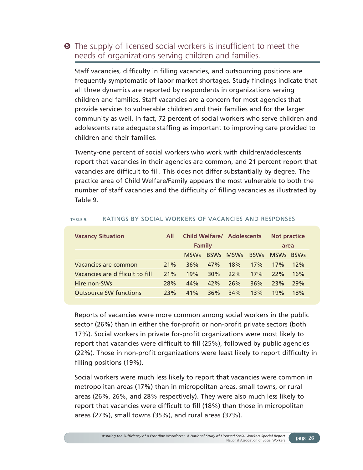### $\Theta$  The supply of licensed social workers is insufficient to meet the needs of organizations serving children and families.

Staff vacancies, difficulty in filling vacancies, and outsourcing positions are frequently symptomatic of labor market shortages. Study findings indicate that all three dynamics are reported by respondents in organizations serving children and families. Staff vacancies are a concern for most agencies that provide services to vulnerable children and their families and for the larger community as well. In fact, 72 percent of social workers who serve children and adolescents rate adequate staffing as important to improving care provided to children and their families.

Twenty-one percent of social workers who work with children/adolescents report that vacancies in their agencies are common, and 21 percent report that vacancies are difficult to fill. This does not differ substantially by degree. The practice area of Child Welfare/Family appears the most vulnerable to both the number of staff vacancies and the difficulty of filling vacancies as illustrated by Table 9.

| <b>Vacancy Situation</b>        | All | <b>Child Welfare/ Adolescents</b> |             | <b>Not practice</b> |             |             |             |
|---------------------------------|-----|-----------------------------------|-------------|---------------------|-------------|-------------|-------------|
|                                 |     | Family                            |             |                     |             | area        |             |
|                                 |     | <b>MSWs</b>                       | <b>RSWS</b> | <b>MSWs</b>         | <b>BSWs</b> | <b>MSWs</b> | <b>RSWs</b> |
| Vacancies are common            | 21% | 36%                               | 47%         | 18%                 | 17%         | 17%         | 12%         |
| Vacancies are difficult to fill | 21% | 19%                               | 30%         | 22%                 | 17%         | 22%         | 16%         |
| Hire non-SWs                    | 28% | 44%                               | 42%         | 26%                 | 36%         | 23%         | 29%         |
| <b>Outsource SW functions</b>   | 23% | 41%                               | 36%         | 34%                 | 13%         | 19%         | 18%         |

#### TABLE 9. RATINGS BY SOCIAL WORKERS OF VACANCIES AND RESPONSES

Reports of vacancies were more common among social workers in the public sector (26%) than in either the for-profit or non-profit private sectors (both 17%). Social workers in private for-profit organizations were most likely to report that vacancies were difficult to fill (25%), followed by public agencies (22%). Those in non-profit organizations were least likely to report difficulty in filling positions (19%).

Social workers were much less likely to report that vacancies were common in metropolitan areas (17%) than in micropolitan areas, small towns, or rural areas (26%, 26%, and 28% respectively). They were also much less likely to report that vacancies were difficult to fill (18%) than those in micropolitan areas (27%), small towns (35%), and rural areas (37%).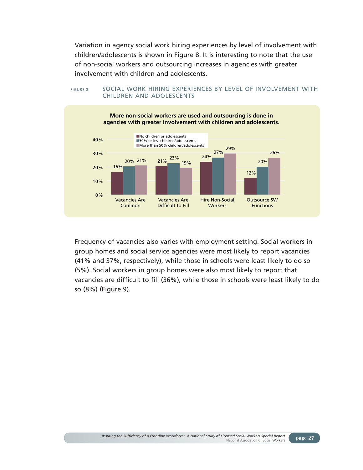Variation in agency social work hiring experiences by level of involvement with children/adolescents is shown in Figure 8. It is interesting to note that the use of non-social workers and outsourcing increases in agencies with greater involvement with children and adolescents.





Frequency of vacancies also varies with employment setting. Social workers in group homes and social service agencies were most likely to report vacancies (41% and 37%, respectively), while those in schools were least likely to do so (5%). Social workers in group homes were also most likely to report that vacancies are difficult to fill (36%), while those in schools were least likely to do so (8%) (Figure 9).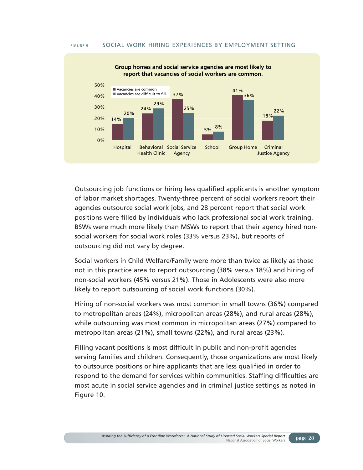#### FIGURE 9. SOCIAL WORK HIRING EXPERIENCES BY EMPLOYMENT SETTING



Outsourcing job functions or hiring less qualified applicants is another symptom of labor market shortages. Twenty-three percent of social workers report their agencies outsource social work jobs, and 28 percent report that social work positions were filled by individuals who lack professional social work training. BSWs were much more likely than MSWs to report that their agency hired nonsocial workers for social work roles (33% versus 23%), but reports of outsourcing did not vary by degree.

Social workers in Child Welfare/Family were more than twice as likely as those not in this practice area to report outsourcing (38% versus 18%) and hiring of non-social workers (45% versus 21%). Those in Adolescents were also more likely to report outsourcing of social work functions (30%).

Hiring of non-social workers was most common in small towns (36%) compared to metropolitan areas (24%), micropolitan areas (28%), and rural areas (28%), while outsourcing was most common in micropolitan areas (27%) compared to metropolitan areas (21%), small towns (22%), and rural areas (23%).

Filling vacant positions is most difficult in public and non-profit agencies serving families and children. Consequently, those organizations are most likely to outsource positions or hire applicants that are less qualified in order to respond to the demand for services within communities. Staffing difficulties are most acute in social service agencies and in criminal justice settings as noted in Figure 10.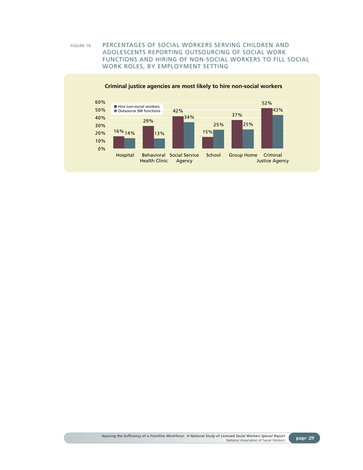#### FIGURE 10. PERCENTAGES OF SOCIAL WORKERS SERVING CHILDREN AND ADOLESCENTS REPORTING OUTSOURCING OF SOCIAL WORK FUNCTIONS AND HIRING OF NON-SOCIAL WORKERS TO FILL SOCIAL WORK ROLES, BY EMPLOYMENT SETTING



**Criminal justice agencies are most likely to hire non-social workers**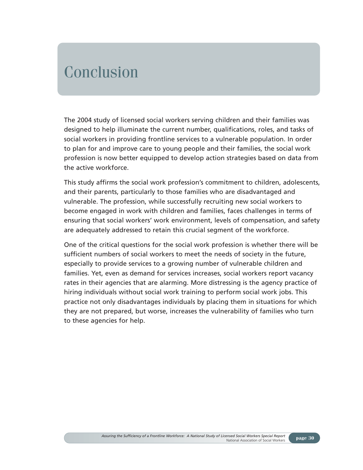## Conclusion

The 2004 study of licensed social workers serving children and their families was designed to help illuminate the current number, qualifications, roles, and tasks of social workers in providing frontline services to a vulnerable population. In order to plan for and improve care to young people and their families, the social work profession is now better equipped to develop action strategies based on data from the active workforce.

This study affirms the social work profession's commitment to children, adolescents, and their parents, particularly to those families who are disadvantaged and vulnerable. The profession, while successfully recruiting new social workers to become engaged in work with children and families, faces challenges in terms of ensuring that social workers' work environment, levels of compensation, and safety are adequately addressed to retain this crucial segment of the workforce.

One of the critical questions for the social work profession is whether there will be sufficient numbers of social workers to meet the needs of society in the future, especially to provide services to a growing number of vulnerable children and families. Yet, even as demand for services increases, social workers report vacancy rates in their agencies that are alarming. More distressing is the agency practice of hiring individuals without social work training to perform social work jobs. This practice not only disadvantages individuals by placing them in situations for which they are not prepared, but worse, increases the vulnerability of families who turn to these agencies for help.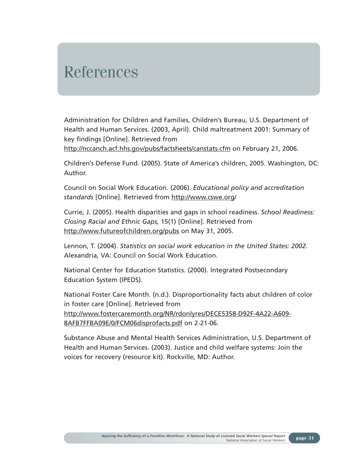## References

Administration for Children and Families, Children's Bureau, U.S. Department of Health and Human Services. (2003, April). Child maltreatment 2001: Summary of key findings [Online]. Retrieved from

http://nccanch.acf.hhs.gov/pubs/factsheets/canstats.cfm on February 21, 2006.

Children's Defense Fund. (2005). State of America's children, 2005. Washington, DC: Author.

Council on Social Work Education. (2006). *Educational policy and accreditation standards* [Online]. Retrieved from http://www.cswe.org/

Currie, J. (2005). Health disparities and gaps in school readiness. *School Readiness: Closing Racial and Ethnic Gaps,* 15(1) [Online]. Retrieved from http://www.futureofchildren.org/pubs on May 31, 2005.

Lennon, T. (2004). *Statistics on social work education in the United States: 2002.* Alexandria, VA: Council on Social Work Education.

National Center for Education Statistics. (2000). Integrated Postsecondary Education System (IPEDS).

National Foster Care Month. (n.d.). Disproportionality facts abut children of color in foster care [Online]. Retrieved from http://www.fostercaremonth.org/NR/rdonlyres/DECE5358-D92F-4A22-A609- 8AFB7FFBA09E/0/FCM06disprofacts.pdf on 2-21-06.

Substance Abuse and Mental Health Services Administration, U.S. Department of Health and Human Services. (2003). Justice and child welfare systems: Join the voices for recovery (resource kit). Rockville, MD: Author.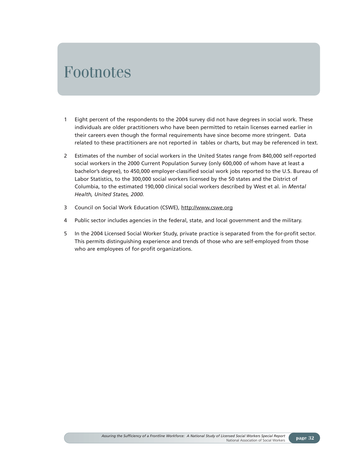### Footnotes

- 1 Eight percent of the respondents to the 2004 survey did not have degrees in social work. These individuals are older practitioners who have been permitted to retain licenses earned earlier in their careers even though the formal requirements have since become more stringent. Data related to these practitioners are not reported in tables or charts, but may be referenced in text.
- 2 Estimates of the number of social workers in the United States range from 840,000 self-reported social workers in the 2000 Current Population Survey (only 600,000 of whom have at least a bachelor's degree), to 450,000 employer-classified social work jobs reported to the U.S. Bureau of Labor Statistics, to the 300,000 social workers licensed by the 50 states and the District of Columbia, to the estimated 190,000 clinical social workers described by West et al. in *Mental Health, United States, 2000.*
- 3 Council on Social Work Education (CSWE), http://www.cswe.org
- 4 Public sector includes agencies in the federal, state, and local government and the military.
- 5 In the 2004 Licensed Social Worker Study, private practice is separated from the for-profit sector. This permits distinguishing experience and trends of those who are self-employed from those who are employees of for-profit organizations.